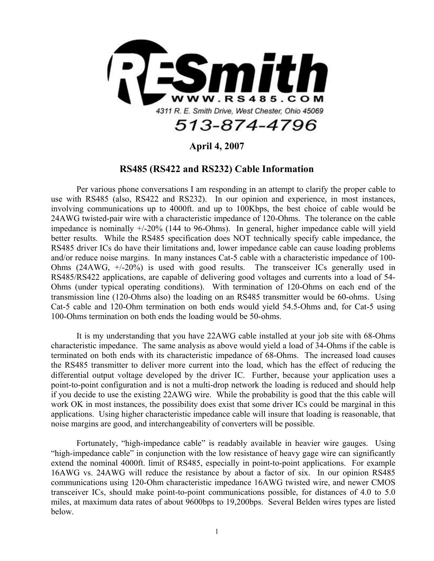

## **April 4, 2007**

## **RS485 (RS422 and RS232) Cable Information**

Per various phone conversations I am responding in an attempt to clarify the proper cable to use with RS485 (also, RS422 and RS232). In our opinion and experience, in most instances, involving communications up to 4000ft. and up to 100Kbps, the best choice of cable would be 24AWG twisted-pair wire with a characteristic impedance of 120-Ohms. The tolerance on the cable impedance is nominally +/-20% (144 to 96-Ohms). In general, higher impedance cable will yield better results. While the RS485 specification does NOT technically specify cable impedance, the RS485 driver ICs do have their limitations and, lower impedance cable can cause loading problems and/or reduce noise margins. In many instances Cat-5 cable with a characteristic impedance of 100- Ohms (24AWG, +/-20%) is used with good results. The transceiver ICs generally used in RS485/RS422 applications, are capable of delivering good voltages and currents into a load of 54- Ohms (under typical operating conditions). With termination of 120-Ohms on each end of the transmission line (120-Ohms also) the loading on an RS485 transmitter would be 60-ohms. Using Cat-5 cable and 120-Ohm termination on both ends would yield 54.5-Ohms and, for Cat-5 using 100-Ohms termination on both ends the loading would be 50-ohms.

It is my understanding that you have 22AWG cable installed at your job site with 68-Ohms characteristic impedance. The same analysis as above would yield a load of 34-Ohms if the cable is terminated on both ends with its characteristic impedance of 68-Ohms. The increased load causes the RS485 transmitter to deliver more current into the load, which has the effect of reducing the differential output voltage developed by the driver IC. Further, because your application uses a point-to-point configuration and is not a multi-drop network the loading is reduced and should help if you decide to use the existing 22AWG wire. While the probability is good that the this cable will work OK in most instances, the possibility does exist that some driver ICs could be marginal in this applications. Using higher characteristic impedance cable will insure that loading is reasonable, that noise margins are good, and interchangeability of converters will be possible.

Fortunately, "high-impedance cable" is readably available in heavier wire gauges. Using "high-impedance cable" in conjunction with the low resistance of heavy gage wire can significantly extend the nominal 4000ft. limit of RS485, especially in point-to-point applications. For example 16AWG vs. 24AWG will reduce the resistance by about a factor of six. In our opinion RS485 communications using 120-Ohm characteristic impedance 16AWG twisted wire, and newer CMOS transceiver ICs, should make point-to-point communications possible, for distances of 4.0 to 5.0 miles, at maximum data rates of about 9600bps to 19,200bps. Several Belden wires types are listed below.